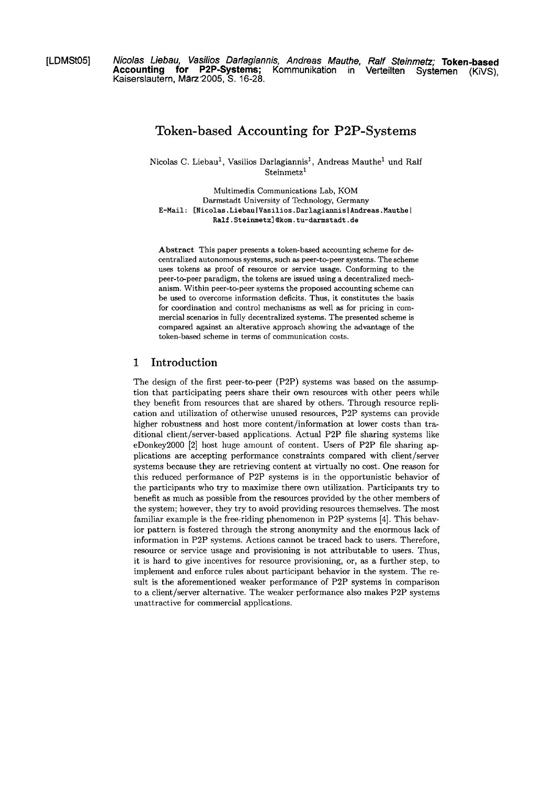[LDMSt05] **Nicolas Liebau, Vasilios Darlagiannis, Andreas Mauthe, Ralf Steinmetz; Token-based Accounting for PZP-Systems;** Kommunikation in Verteilten Systemen (KiVS), Kaiserslautern, März-2005, S. 16-28.

# **Token-based Accounting for P2P-Systems**

Nicolas C. Liebau<sup>1</sup>, Vasilios Darlagiannis<sup>1</sup>, Andreas Mauthe<sup>1</sup> und Ralf  $Steinmetz<sup>1</sup>$ 

Multimedia Communications Lab, KOM Darmstadt University of Technology, Germany **E-Mail: CNicolas.LiebauIVasilios.Dar1agiannisIAndreas.MautheI Ralf.Steinmetz]Qkom.tu-darmstadt.de** 

Abstract This paper presents a token-based accounting scheme for decentralized autonomous systems, such as peer-to-peer systems. The scheme uses tokens as proof of resource or service usage. Conforming to the peer-to-peer paradigm, the tokens are issued using a decentralized mechanism. Within peer-to-peer systems the proposed accounting scheme can be used to overcome information deficits. Thus, it constitutes the basis for coordination and control mechanisms **as** well **as** for pricing in commercial scenarios in fully decentralized systems. The presented scheme is compared against an alterative approach showing the advantage of the token-based scheme in terms of communication costs.

# **1 Introduction**

The design of the first peer-to-peer (P2P) systems was based on the assump tion that participating peers share their own resources with other peers while they benefit from resources that are shared by others. Through resource replication and utilization of otherwise unused resources, P2P systems can provide higher robustness and host more content/information at lower costs than traditional client/server-based applications. Actual P2P file sharing systems like eDonkey2000 [2] host huge amount of content. Users of P2P file sharing applications are accepting performance constraints compared with client/server systems because they are retrieving content at virtually no cost. One reason for this reduced performance of P2P systems is in the opportunistic behavior of the participants who try to maximize there own utilization. Participants try to benefit as much as possible from the resources provided by the other members of the system; however, they try to avoid providing resources themselves. The most familiar example is the free-riding phenomenon in P2P systems **[4].** This behavior pattern is fostered through the strong anonyrnity and the enormous lack of information in P2P systems. Actions cannot be traced back to users. Therefore, resource or service usage and provisioning is not attributable to users. Thus, it is hard to give incentives for resource provisioning, or, as a further step, to implement and enforce rules about participant behavior in the system. The result is the aforementioned weaker performance of P2P systems in comparison to a client/server alternative. The weaker performance also makes P2P systems unattractive for commercial applications.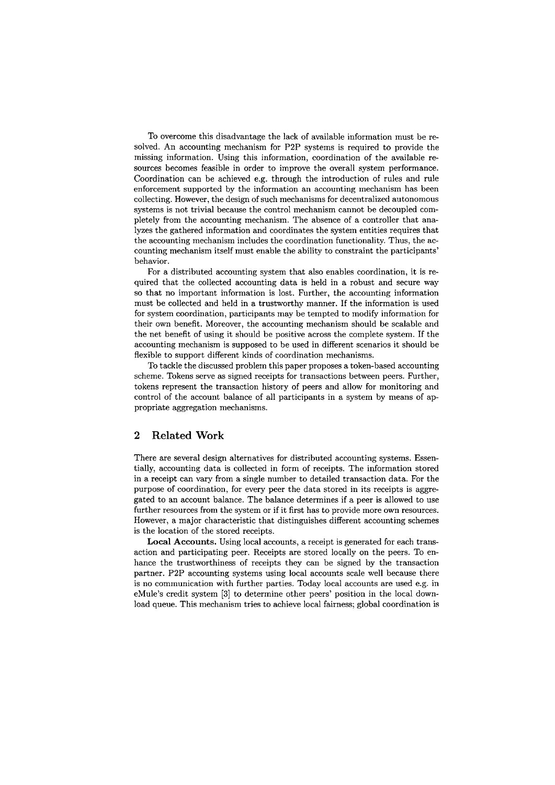To overcome this disadvantage the lack of available information must be resolved. An accounting mechanism for P2P systems is required to provide the missing information. Using this information, coordination of the available resources becomes feasible in order to improve the overall system performance. Coordination can be achieved e.g. through the introduction of rules and rule enforcement supported by the information an accounting mechanism has been collecting. However, the design of such mechanisms for decentralized autonomous systems is not trivial because the control mechanism cannot be decoupled completely from the accounting mechanism. The absence of a controller that analyzes the gathered information and coordinates the system entities requires that the accounting mechanism includes the coordination functionality. Thus, the accounting mechanism itself must enable the ability to constraint the participants' behavior.

For a distributed accounting system that also enables coordination, it is required that the collected accounting data is held in a robust and secure way so that no important information is lost. Further, the accounting information must be collected and held in a trustworthy manner. If the information is used for system coordination, participants may be tempted to modify information for their own benefit. Moreover, the accounting mechanism should be scalable and the net benefit of using it should be positive across the complete system. If the accounting mechanism is supposed to be used in different scenarios it should be flexible to support different kinds of coordination mechanisms.

To tackle the discussed problem this paper proposes a token-based accounting scheme. Tokens serve as signed receipts for transactions between peers. Further, tokens represent the transaction history of peers and allow for monitoring and control of the account balance of all participants in a system by means of appropriate aggregation mechanisms.

# **2 Related Work**

There are several design alternatives for distributed accounting systems. Essentially, accounting data is collected in form of receipts. The information stored in a receipt can vary from a single number to detailed transaction data. For the purpose of coordination, for every peer the data stored in its receipts is aggregated to an account balance. The balance determines if a peer is allowed to use further resources from the system or if it first has to provide more own resources. However, a major characteristic that distinguishes different accounting schemes is the location of the stored receipts.

**Local Accounts.** Using local accounts, a receipt is generated for each trarisaction and participating peer. Receipts are stored locally on the peers. To enhance the trustworthiness of receipts they can be signed by the transaction partner. P2P accounting systems using local accounts scale well because there is no communication with further parties. Today local accounts are used e.g. in eMule's credit system **[3]** to determine other peers' position in the local download queue. This mechanism tries to achieve local fairness; global coordination is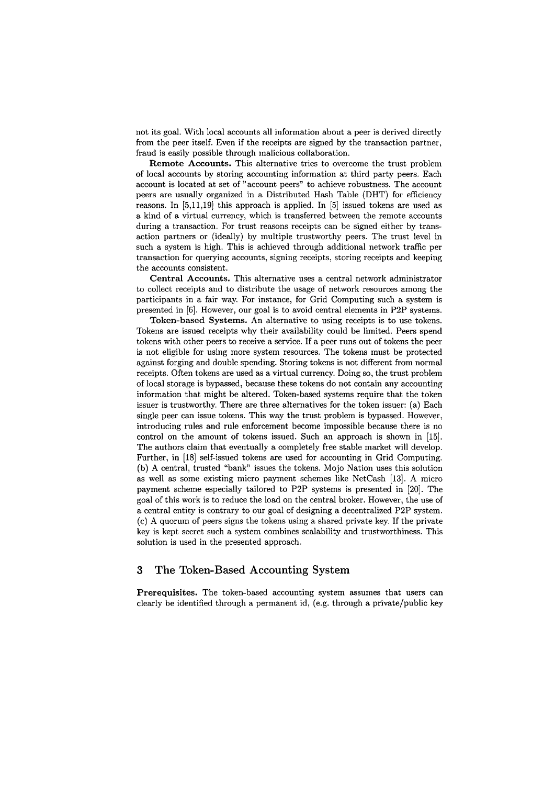not its goal. With local accounts all information about a peer is derived directly from the peer itself. Even if the receipts are signed by the transaction partner, fraud is easily possible through malicious collaboration.

**Remote Accounts.** This alternative tries to overcome the trust problem of local accounts by storing accounting information at third party peers. Each account is located at set of "account peers" to achieve robustness. The account peers are usually organized in a Distributed Hash Table (DHT) for efficiency reasons. In [5,11,19] this approach is applied. In [5] issued tokens are used as a kind of a virtual currency, which is transferred between the rernote accounts during a transaction. For trust reasons receipts can be signed either by transaction partners or (ideally) by multiple trustworthy peers. The trust level in such a system is high. This is achieved through additional network traffic per transaction for querying accounts, signing receipts, storing receipts and keeping the accounts consistent.

**Central Accounts.** This alternative uses a central network administrator to collect receipts and to distribute the usage of network resources among the participants in a fair way. For instance, for Grid Computing such a system is presented in [6]. However, our goal is to avoid central elements in P2P systems.

**Token-based Systems.** An alternative to using receipts is to use tokens. Tokens are issued receipts why their availability could be limited. Peers spend tokens with other peers to receive a sewice. If a peer runs out of tokens the peer is not eligible for using more system resources. The tokens must be protected against forging and double spending. Storing tokens is not different from normal receipts. Often tokens are used as a virtual currency. Doing so, the trust problem of local storage is bypassed, because these tokens do not contain any accounting information that might be altered. Token-based systems require that the token issuer is trustworthy. There are three alternatives for the token issuer: (a) Each single peer can issue tokens. This way the trust problem is bypassed. However, introducing rules and rule enforcement become impossible because there is no control on the amount of tokens issued. Such an approach is shown in [15]. The authors claim that eventually a completely free stable market will develop. Further, in [18] self-issued tokens are used for accounting in Grid Computing. (b) **A** central, trusted "bank" issues the tokens. Mojo Nation uses this solution as well as some existing micro payment schemes like NetCash [13]. A micro payment scheme especially tailored to P2P systems is presented in [20]. The goal of this work is to reduce the load on the central broker. However, the use of a central entity is contrary to our goal of designing a decentralized P2P system. (C) A quorum of peers signs the tokens using a shared private key. If the private key is kept secret such a system combines scalability and trustworthiness. This solution is used in the presented approach.

# **3 The Token-Based Accounting System**

**Prerequisites.** The token-based accounting system assumes that users can clearly be identified through a permanent id, (e.g. through a private/public key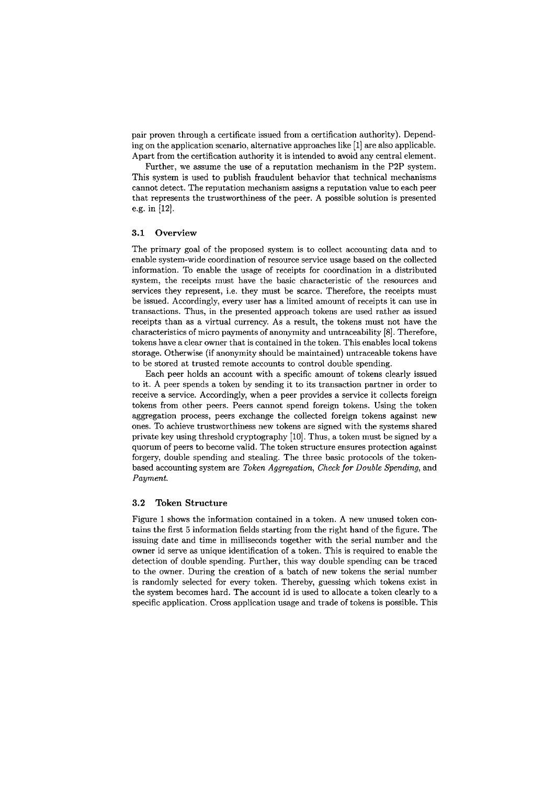pair proven through a certificate issued from a certification authority). Depending on the application scenario, alternative approaches like [I] are also applicable. Apart from the certification authority it is intended to avoid any central element.

Further, we assume the use of a reputation mechanism in the P2P system. This system is used to publish fraudulent behavior that technical mechanisms cannot detect. The reputation mechanism assigns a reputation value to each peer that represents the trustworthiness of the peer. A possible solution is presented e.g. in [12].

#### **3.1 Overview**

The primary goal of the proposed system is to collect accounting data and to enable system-wide coordination of resource service usage based on the collected information. To enable the usage of receipts for coordination in a distributed system, the receipts must have the basic characteristic of the resources and services they represent, i.e. they must be scarce. Therefore, the receipts must be issued. Accordingly, every user has a limited amount of receipts it can use in transactions. Thus, in the presented approach tokens are used rather as issued receipts than as a virtual currency. As a result, the tokens rnust not have the characteristics of micro payments of anonyrnity arid untraceability [8]. Therefore, tokens have a clear owner that is contained in the token. This enables local tokens Storage. Otherwise (if anonymity should be maintained) untraceable tokens have to be stored at trusted remote accounts to control double spending.

Each peer holds an account with a specific amount of tokens clearly issued to it. **A** peer spends a token by sending it to its transaction partner in order to receive a service. Accordingly, when a peer provides a service it collects foreign tokens from other peers. Peers cannot spend foreign tokens. Using the token aggregation process, peers exchange the collected foreign tokens against new ones. To achieve trustworthiness new tokens are signed with the systems shared private key using threshold cryptography [10]. Thus, a token niust be signed by a quorum of peers to become valid. The token structure ensures protection against forgery, double spending and stealing. The three basic protocols of the tokenbased accounting system are Token Aggregation, Check for Double Spending, and Payment.

### **3.2 Token Structure**

Figure 1 shows the information contained in a token. A new unused token contains the first 5 information fields starting from the right hand of the figure. The issuing date and time in milliseconds together with the serial number and the owner id serve as unique identification of a token. This is required to enable the detection of double spending. Further, this way double spending can be traced to the owner. During the creation of a batch of new tokens the serial number is randomly selected for every token. Thereby, guessing which tokens exist in the system becomes hard. The account id is used to allocate a token clearly to a specific application. Cross application usage and trade of tokens is possible. This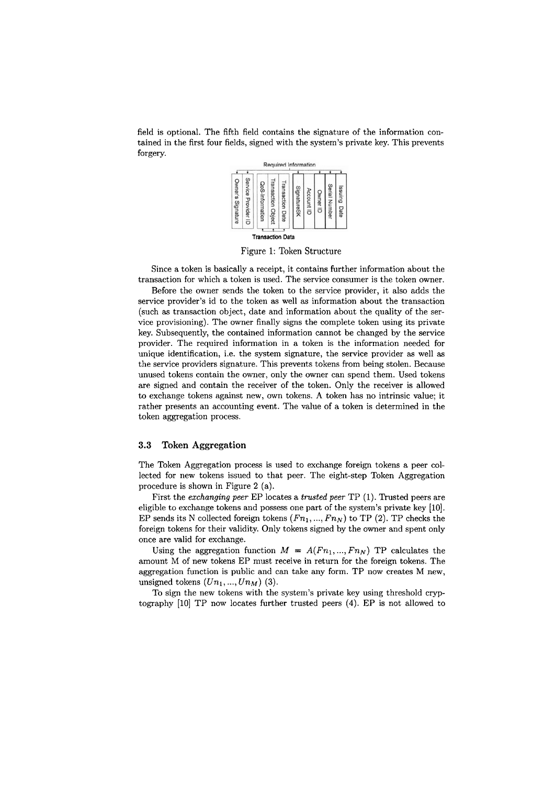field is optional. The fifth field contains the signature of the information contained in the first four fields, signed with the system's private key. This prevents forgery.



Figure 1: Token Structure

Since a token is basically a receipt, it contains further information about the transaction for which a token is used. The service consumer is the token owner.

Before the owner sends the token to the service provider, it also adds the service provider's id to the token **as** well **as** information about the transaction (such as transaction object, date and information about the quality of the service provisioning). The owner finally signs the complete token using its private key. Subsequently, the contained information cannot be changed by the service provider. The required information in a token is the information needed for unique identification, i.e. the system signature, the service provider **as** well **as**  the service providers signature. This prevents tokens from being stolen. Because unused tokens contain the owner, only the owner can spend them. Used tokens are signed and contain the receiver of the token. Only the receiver is allowed to exchange tokens against new, own tokens. A token has no intrinsic value; it rather presents an accounting event. The value of a token is determined in the token aggregation process.

#### **3.3 Token Aggregation**

The Token Aggregation process is used to exchange foreign tokens a peer collected for new tokens issued to that peer. The eight-step Token Aggregation procedure is shown in Figure **2** (a).

First the **exchanging** *peer* EP locates a *trusted peer* TP (1). Trusted peers are eligible to exchange tokens and possess one Part of the system's private key [10]. EP sends its N collected foreign tokens  $(Fn_1, ..., Fn_N)$  to TP (2). TP checks the foreign tokens for their validity. Only tokens signed by the owner and spent only once are valid for exchange.

Using the aggregation function  $M = A(Fn_1, ..., Fn_N)$  TP calculates the amount M of new tokens EP must receive in return for the foreign tokens. The aggregation function is public and can take any form. TP now creates M new, unsigned tokens  $(Un_1, ..., Un_M)$  (3).

To sign the new tokens with the system's private key using threshold cryptography [10] TP now locates further trusted peers (4). EP is not allowed to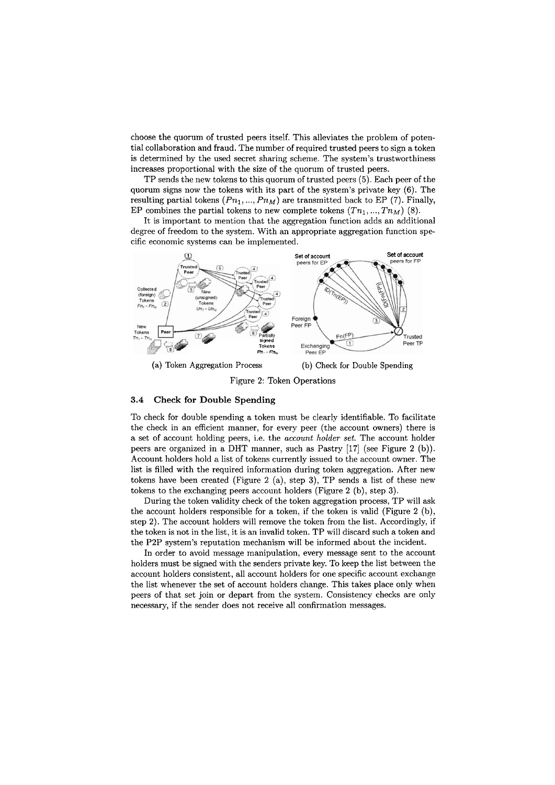choose the quorum of trusted peers itself. This alleviates the problem of potential collaboration and fraud. The number of required trusted peers to sign a token is determined by the used secret sharing scheme. The system's trustworthiness increases proportional with the size of the quorum of trusted peers.

TP sends the new tokens to this quorurn of trusted peers (5). Each peer of the quorurn signs now the tokens with its part of the system's private key (6). The resulting partial tokens  $(Pn_1, ..., Pn_M)$  are transmitted back to EP (7). Finally, EP combines the partial tokens to new complete tokens  $(Tn_1, ..., Tn_M)$  (8).

It is important to mention that the aggregation function adds an additional degree of freedom to the system. With an appropriate aggregation function specific econornic systerns can be implernented.



Figure 2: Token Operations

#### **3.4 Check for Double Spending**

To check for double spending a token must be clearly identifiable. To facilitate the check in an efficient manner, for every peer (the account owners) there is a Set of account holding peers, i.e. the *account holder set.* The account holder peers are organized in a DHT manner, such as Pastry [17] (see Figure 2 (b)). Account holders hold a list of tokens currently issued to the account owner. The list is filled with the required information during token aggregation. After new tokens have been created (Figure 2 (a), step **3),** TP sends a list of these new tokens to the exchanging peers account holders (Figure 2 (b), step **3).** 

During the token validity check of the token aggregation process, TP will ask the account holders responsible for a token, if the token is valid (Figure 2 (b), step 2). The account holders will remove the token from the list. Accordingly, if the token is not in the list, it is an invalid token. TP will discard such a token and the P2P systern's reputation mechanism will be informed about the incident.

In order to avoid message manipulation, every message sent to the account holders must be signed with the senders private key. To keep the list between the account holders consistent, all account holders for one specific account exchange the list whenever the set of account holders change. This takes place only when peers of that set join or depart from the system. Consistency checks are only necessary, if the sender does not receive all confirmation messages.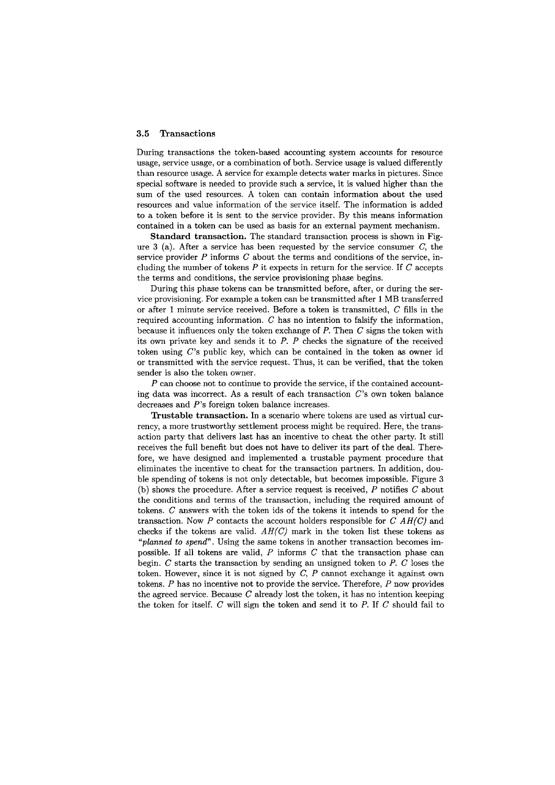#### 3.5 Transactions

During transactions the token-based accounting system accounts for resource usage, service usage, or a combination of both. Sewice usage is valued differently than resource usage. A service for example detects water marks in pictures. Since special software is needed to provide such a service, it is valued higher than the sum of the used resources. A token can contain information about the used resources and value information of the service itself. The information is added to a token before it is sent to the service provider. By this means information contained in a token can be used as basis for an external payment mechanism.

Standard transaction. The standard transaction process is shown in Figure **3** (a). After a service has been requested by the service consumer C, the service provider  $P$  informs  $C$  about the terms and conditions of the service, including the number of tokens  $P$  it expects in return for the service. If  $C$  accepts the terms and conditions, the service provisioning phase begins.

During this phase tokens can be transmitted before, after, or during the service provisioning. For example a token can be transmitted after 1 MB transferred or after 1 minute service received. Before a token is transmitted,  $C$  fills in the required accounting information.  $C$  has no intention to falsify the information, because it influences only the token exchange of  $P$ . Then  $C$  signs the token with its own private key and sends it to  $P$ .  $P$  checks the signature of the received token using  $C$ 's public key, which can be contained in the token as owner id or transmitted with the service request. Thus, it can be verified, that the token sender is also the token owner.

P can choose not to continue to provide the service, if the contained accounting data was incorrect. As a result of each transaction  $C$ 's own token balance decreases and P's foreign token balance increases.

Trustable transaction. In a scenario where tokens are used as virtual currency, a more trustworthy settlement process might be required. Here, the transaction party that delivers last has an incentive to cheat the other party. It still receives the full benefit but does not have to deliver its part of the deal. Therefore, we have designed and implemented a trustable payment procedure that eliminates the incentive to cheat for the transaction Partners. In addition, double spending of tokens is not only detectable, but becomes impossible. Figure **3**  (b) shows the procedure. After a service request is received,  $P$  notifies  $C$  about the conditions and terms of the transaction, including the required amount of tokens. C answers with the token ids of the tokens it intends to spend for the transaction. Now P contacts the account holders responsible for  $C$   $AH(C)$  and checks if the tokens are valid.  $AH(C)$  mark in the token list these tokens as *"planned* to *spend".* Using the Same tokens in another transaction becomes impossible. If all tokens are valid,  $P$  informs  $C$  that the transaction phase can begin.  $C$  starts the transaction by sending an unsigned token to  $P$ .  $C$  loses the token. However, since it is not signed by  $C$ ,  $P$  cannot exchange it against own tokens.  $P$  has no incentive not to provide the service. Therefore,  $P$  now provides the agreed service. Because  $C$  already lost the token, it has no intention keeping the token for itself.  $C$  will sign the token and send it to  $P$ . If  $C$  should fail to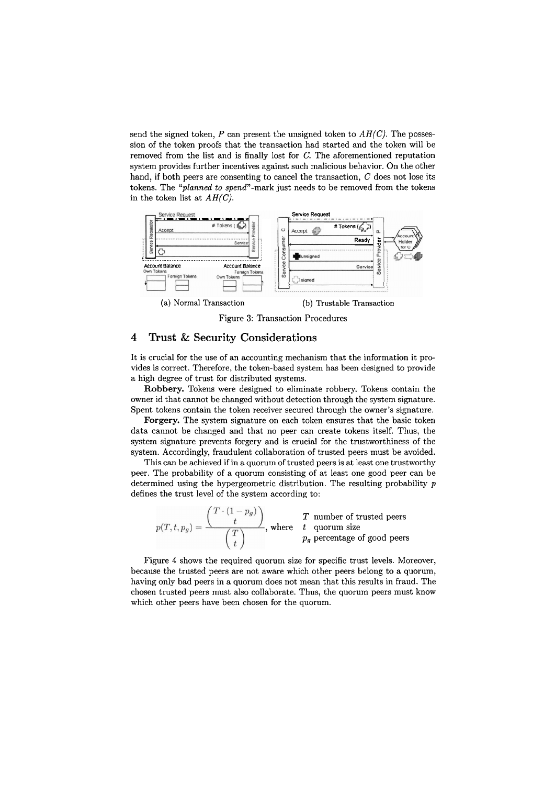send the signed token,  $P$  can present the unsigned token to  $AH(C)$ . The possession of the token proofs that the transaction had started and the token will be removed from the list and is finally lost for C. The aforementioned reputation system provides further incentives against such malicious behavior. On the other hand, if both peers are consenting to cancel the transaction, C does not lose its tokens. The "planned to spend"-mark just needs to be removed from the tokens in the token list at  $AH(C)$ .



Figure **3:** Transaction Procedures

## **4 Trust** & **Security Considerations**

It is crucial for the use of an accounting mechanism that the information it provides is correct. Therefore, the token-based system has been designed to provide a high degree of trust for distributed systems.

**Robbery.** Tokens were designed to eliminate robbery. Tokens contain the owner id that cannot be changed without detection through the system signature. Spent tokens contain the token receiver secured through the owner's signature.

**Forgery.** The system signature on each token ensures that the basic token data cannot be changed and that no peer can create tokens itself. Thus, the system signature prevents forgery and is crucial for the trustworthiness of the system. Accordingly, fraudulent collaboration of trusted peers must be avoided.

This can be achieved if in a quorum of trusted peers is at least one trustworthy peer. The probability of a quorum consisting of at least one good Peer can be determined using the hypergeometric distribution. The resulting probability p defines the trust level of the system according to:

T number of trusted peers , where *t* quorum size  $p<sub>g</sub>$  percentage of good peers

Figure 4 shows the required quorum size for specific trust levels. Moreover, because the trusted peers are not aware which other peers belong to a quorum, having only bad peers in a quorum does not mean that this results in fraud. The chosen trusted peers niust also collaborate. Thus, the quorum peers must know which other peers have been chosen for the quorum.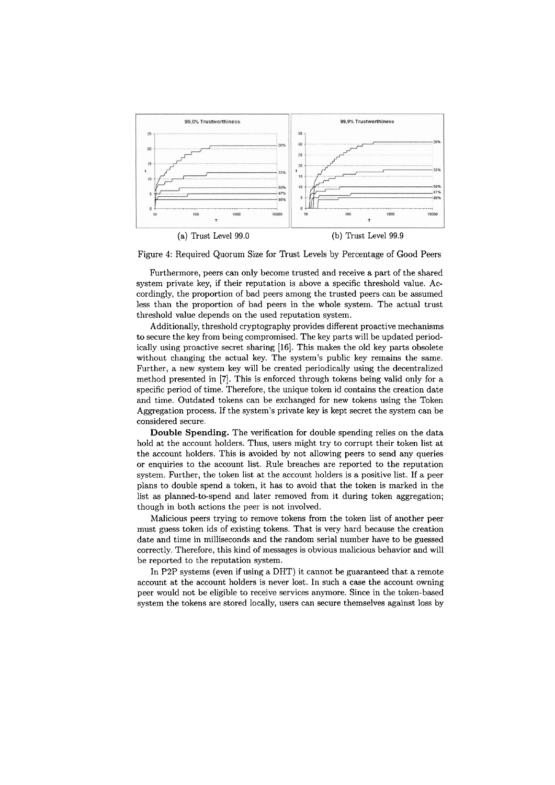

Figure 4: Required Quorum Size for Trust Levels by Percentage of Good Peers

Furthermore, peers can only become trusted and receive a part of the shared system private key, if their reputation is above a specific threshold value. Accordingly, the proportion of bad peers among the trusted peers can be assurned less than the proportion of bad peers in the whole system. The actual trust threshold value depends on the used reputation system.

Additionally, threshold cryptography provides different proactive mechanisms to secure the key from being compromised. The key parts will be updated periodically using proactive secret sharing [16]. This makes the old key parts obsolete without changing the actual key. The system's public key remains the same. Further, a new system key will be created periodically using the decentralized method presented in **[7].** This is enforced through tokens being valid only for a specific period of time. Therefore, the unique token id contains the creation date and time. Outdated tokens can be exchanged for new tokens using the Token Aggregation process. If the system's private key is kept secret the system can be considered secure.

**Double Spending.** The verification for double spending relies on the data hold at the account holders. Thus, users might try to corrupt their token list at the account holders. This is avoided by not allowing peers to send any queries or enquiries to the account list. Rule breaches are reported to the reputation system. Further, the token list at the account holders is a positive list. If a peer plans to double spend a token, it has to avoid that the token is rnarked in the list as planned-to-spend and later removed from it during token aggregation; though in both actions the Peer is not involved.

Malicious peers trying to remove tokens frorn the token list of another peer must guess token ids of existing tokens. That is very hard because the creation date and time in milliseconds and the random serial number have to be guessed correctly. Therefore, this kind of messages is obvious malicious behavior and will be reported to the reputation system.

In P2P systerns (even if using a DHT) it cannot be guaranteed that a remote account at the account holders is never lost. In such a case the account owning peer would not be eligible to receive services anymore. Since in the token-based system the tokens are stored locally, users can secure themselves against loss by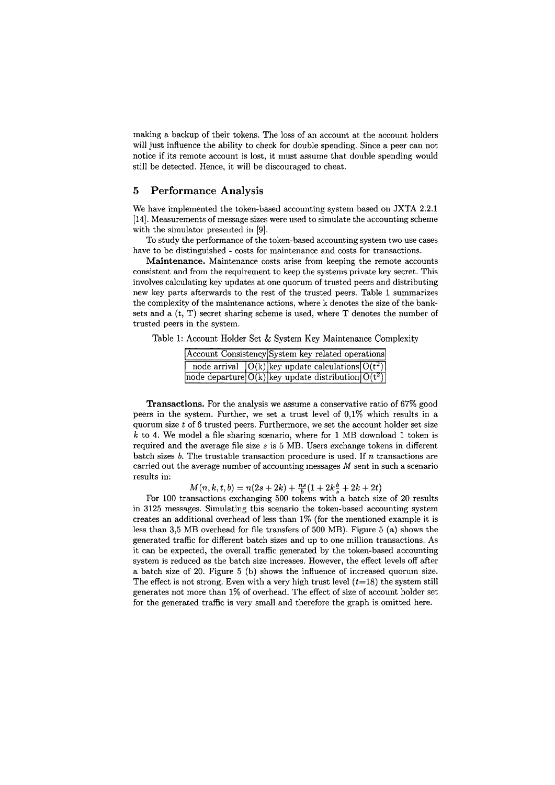making a backup of their tokens. The Ioss of an account at the accourit holders will just influence the ability to check for double spending. Since a peer can not notice if its remote account is lost, it must assume that double spending would still be detected. Hence, it will be discouraged to cheat.

## **5 Performance Analysis**

We have implemented the token-based accounting system based on JXTA 2.2.1 [14]. Measurements of message sizes were used to simulate the accounting scheme with the simulator presented in [9].

To study the performance of the token-based accounting system two use cases have to be distinguished - costs for maintenance and costs for transactions.

**Maintenance.** Maintenance costs arise from keeping the remote accounts consistent and from the requirement to keep the Systems private key secret. This involves calculating key updates at one quorum of trusted peers and distributing new key parts aftenvards to the rest of the trusted peers. Table 1 summarizes the complexity of the maintenance actions, where k denotes the size of the banksets and a  $(t, T)$  secret sharing scheme is used, where  $T$  denotes the number of trusted peers in the systern.

Table 1: Account Holder Set & System Key Maintenance Complexity

| Account Consistency System key related operations |  |                                                          |  |
|---------------------------------------------------|--|----------------------------------------------------------|--|
|                                                   |  | node arrival $ O(k) $ key update calculations $ O(t^2) $ |  |
|                                                   |  | node departure $O(k)$ key update distribution $O(t^2)$   |  |

**Transactions.** For the analysis we assume a conservative ratio of 67% good peers in the system. Further, we set a trust level of  $0.1\%$  which results in a quorum size  $t$  of  $6$  trusted peers. Furthermore, we set the account holder set size  $k$  to 4. We model a file sharing scenario, where for 1 MB download 1 token is required and the average file size **s** is 5 MB. Users exchange tokens in different batch sizes  $b$ . The trustable transaction procedure is used. If  $n$  transactions are carried out the average number of accounting messages M sent in such a scenario results in:

 $M(n, k, t, b) = n(2s + 2k) + \frac{ns}{b}(1 + 2k\frac{b}{s} + 2k + 2t)$ 

For 100 transactions exchanging 500 tokens with a batch size of 20 results in 3125 messages. Simulating this scenario the token-based accounting system creates an additional overhead of less than 1% (for the mentioned example it is less than 3,5 MB overhead for file transfers of 500 MB). Figure 5 (a) shows the generated traffic for different batch sizes and up to one million transactions. As it can be expected, the overall traffic generated by the token-based accounting system is reduced as the batch size increases. However, the effect levels off after a batch size of 20. Figure 5 (b) shows the influence of increased quorum size. The effect is not strong. Even with a very high trust level  $(t=18)$  the system still generates not more than  $1\%$  of overhead. The effect of size of account holder set for the generated traffic is very small and therefore the graph is omitted here.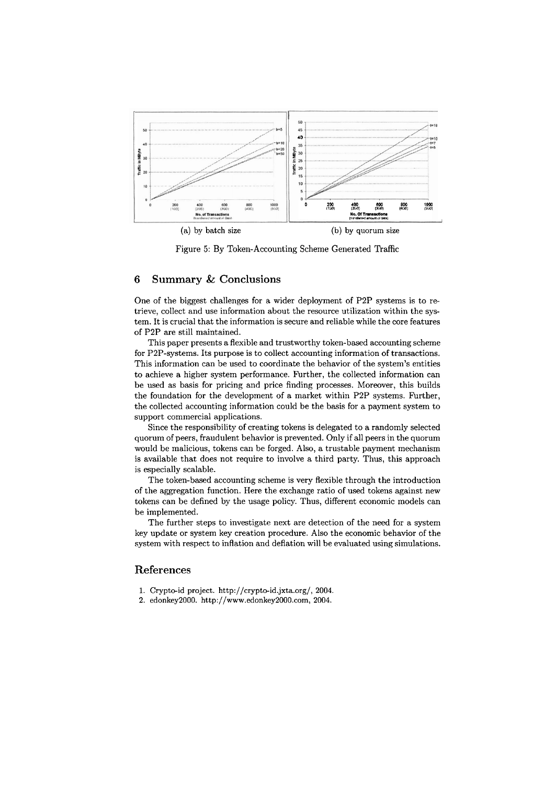

Figure 5: By Token-Accounting Scheme Generated Traffic

# **6 Summary** & **Conclusions**

One of the biggest challenges for a wider deployment of P2P systems is to retrieve, collect and use information about the resource utilization within the system. It is crucial that the information is secure and reliable while the core features of P2P are still maintained.

This paper presents a flexible and trustworthy token-based accounting scheme for P2P-systems. Its purpose is to collect accounting information of transactions. This information can be used to coordinate the behavior of the system's entities to achieve a higher system performance. Further, the collected information can be used as basis for pricing and price finding processes. Moreover, this builds the foundation for the development of a market within P2P systems. Further, the collected accounting information could be the basis for a payment system to support commercial applications.

Since the responsibility of creating tokens is delegated to a randomly selected quorum of peers, fraudulent behavior is prevented. Only if all peers in the quorurn would be malicious, tokens can be forged. Also, a trustable payment mechanism is available that does not require to involve a third party. Thus, this approach is especially scalable.

The token-based accounting scheme is very flexible through the introduction of the aggregation function. Here the exchange ratio of used tokens against new tokens can be defined by the usage policy. Thus, different economic models can be implemented.

The further steps to investigate next are detection of the need for a system key update or system key creation procedure. Also the economic behavior of the system with respect to inflation and deflation will be evaluated using simulations.

# **References**

- **1. Crypto-id** project. **http://crypto-id.jxta.org/,** 2004.
- **2.** edonkey2000. http://www.edonkey20OO.com, 2004.